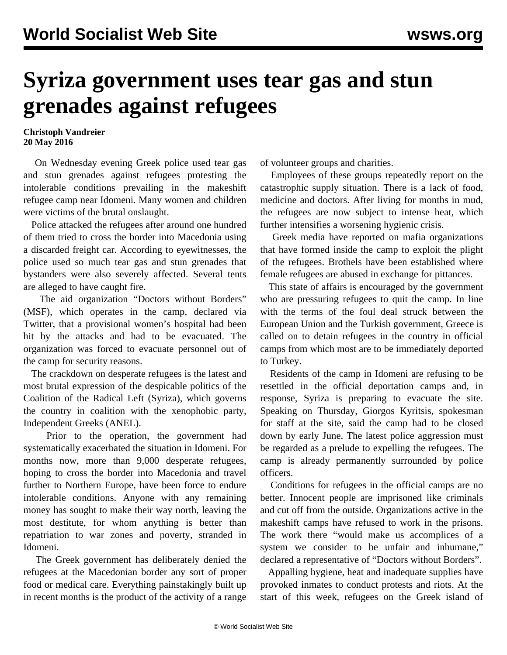## **Syriza government uses tear gas and stun grenades against refugees**

**Christoph Vandreier 20 May 2016**

 On Wednesday evening Greek police used tear gas and stun grenades against refugees protesting the intolerable conditions prevailing in the makeshift refugee camp near Idomeni. Many women and children were victims of the brutal onslaught.

 Police attacked the refugees after around one hundred of them tried to cross the border into Macedonia using a discarded freight car. According to eyewitnesses, the police used so much tear gas and stun grenades that bystanders were also severely affected. Several tents are alleged to have caught fire.

 The aid organization "Doctors without Borders" (MSF), which operates in the camp, declared via Twitter, that a provisional women's hospital had been hit by the attacks and had to be evacuated. The organization was forced to evacuate personnel out of the camp for security reasons.

 The crackdown on desperate refugees is the latest and most brutal expression of the despicable politics of the Coalition of the Radical Left (Syriza), which governs the country in coalition with the xenophobic party, Independent Greeks (ANEL).

 Prior to the operation, the government had systematically exacerbated the situation in Idomeni. For months now, more than 9,000 desperate refugees, hoping to cross the border into Macedonia and travel further to Northern Europe, have been force to endure intolerable conditions. Anyone with any remaining money has sought to make their way north, leaving the most destitute, for whom anything is better than repatriation to war zones and poverty, stranded in Idomeni.

 The Greek government has deliberately denied the refugees at the Macedonian border any sort of proper food or medical care. Everything painstakingly built up in recent months is the product of the activity of a range of volunteer groups and charities.

 Employees of these groups repeatedly report on the catastrophic supply situation. There is a lack of food, medicine and doctors. After living for months in mud, the refugees are now subject to intense heat, which further intensifies a worsening hygienic crisis.

 Greek media have reported on mafia organizations that have formed inside the camp to exploit the plight of the refugees. Brothels have been established where female refugees are abused in exchange for pittances.

 This state of affairs is encouraged by the government who are pressuring refugees to quit the camp. In line with the terms of the foul deal struck between the European Union and the Turkish government, Greece is called on to detain refugees in the country in official camps from which most are to be immediately deported to Turkey.

 Residents of the camp in Idomeni are refusing to be resettled in the official deportation camps and, in response, Syriza is preparing to evacuate the site. Speaking on Thursday, Giorgos Kyritsis, spokesman for staff at the site, said the camp had to be closed down by early June. The latest police aggression must be regarded as a prelude to expelling the refugees. The camp is already permanently surrounded by police officers.

 Conditions for refugees in the official camps are no better. Innocent people are imprisoned like criminals and cut off from the outside. Organizations active in the makeshift camps have refused to work in the prisons. The work there "would make us accomplices of a system we consider to be unfair and inhumane," declared a representative of "Doctors without Borders".

 Appalling hygiene, heat and inadequate supplies have provoked inmates to conduct protests and riots. At the start of this week, refugees on the Greek island of